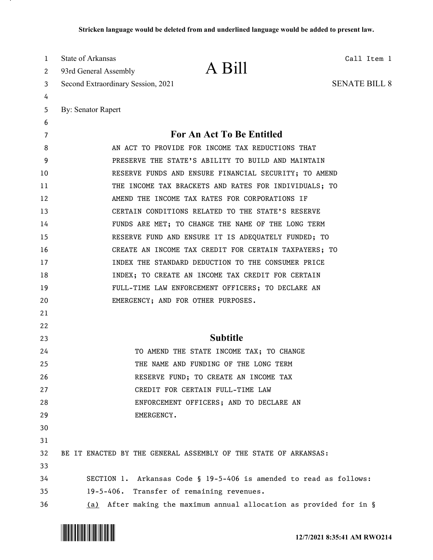| 1        | State of Arkansas                  | A Bill                                                                    | Call Item 1          |
|----------|------------------------------------|---------------------------------------------------------------------------|----------------------|
| 2        | 93rd General Assembly              |                                                                           |                      |
| 3        | Second Extraordinary Session, 2021 |                                                                           | <b>SENATE BILL 8</b> |
| 4        |                                    |                                                                           |                      |
| 5        | <b>By: Senator Rapert</b>          |                                                                           |                      |
| 6        |                                    |                                                                           |                      |
| 7        |                                    | For An Act To Be Entitled                                                 |                      |
| 8        |                                    | AN ACT TO PROVIDE FOR INCOME TAX REDUCTIONS THAT                          |                      |
| 9        |                                    | PRESERVE THE STATE'S ABILITY TO BUILD AND MAINTAIN                        |                      |
| 10       |                                    | RESERVE FUNDS AND ENSURE FINANCIAL SECURITY; TO AMEND                     |                      |
| 11       |                                    | THE INCOME TAX BRACKETS AND RATES FOR INDIVIDUALS; TO                     |                      |
| 12       |                                    | AMEND THE INCOME TAX RATES FOR CORPORATIONS IF                            |                      |
| 13       |                                    | CERTAIN CONDITIONS RELATED TO THE STATE'S RESERVE                         |                      |
| 14       |                                    | FUNDS ARE MET; TO CHANGE THE NAME OF THE LONG TERM                        |                      |
| 15       |                                    | RESERVE FUND AND ENSURE IT IS ADEQUATELY FUNDED; TO                       |                      |
| 16       |                                    | CREATE AN INCOME TAX CREDIT FOR CERTAIN TAXPAYERS; TO                     |                      |
| 17       |                                    | INDEX THE STANDARD DEDUCTION TO THE CONSUMER PRICE                        |                      |
| 18       |                                    | INDEX; TO CREATE AN INCOME TAX CREDIT FOR CERTAIN                         |                      |
| 19       |                                    | FULL-TIME LAW ENFORCEMENT OFFICERS; TO DECLARE AN                         |                      |
| 20       |                                    | EMERGENCY; AND FOR OTHER PURPOSES.                                        |                      |
| 21       |                                    |                                                                           |                      |
| 22       |                                    | <b>Subtitle</b>                                                           |                      |
| 23       |                                    |                                                                           |                      |
| 24       |                                    | TO AMEND THE STATE INCOME TAX; TO CHANGE                                  |                      |
| 25       |                                    | THE NAME AND FUNDING OF THE LONG TERM                                     |                      |
| 26<br>27 |                                    | RESERVE FUND; TO CREATE AN INCOME TAX<br>CREDIT FOR CERTAIN FULL-TIME LAW |                      |
| 28       |                                    | ENFORCEMENT OFFICERS; AND TO DECLARE AN                                   |                      |
| 29       |                                    | EMERGENCY.                                                                |                      |
| 30       |                                    |                                                                           |                      |
| 31       |                                    |                                                                           |                      |
| 32       |                                    | BE IT ENACTED BY THE GENERAL ASSEMBLY OF THE STATE OF ARKANSAS:           |                      |
| 33       |                                    |                                                                           |                      |
| 34       |                                    | SECTION 1. Arkansas Code § 19-5-406 is amended to read as follows:        |                      |
| 35       | $19 - 5 - 406$ .                   | Transfer of remaining revenues.                                           |                      |
| 36       |                                    | (a) After making the maximum annual allocation as provided for in §       |                      |

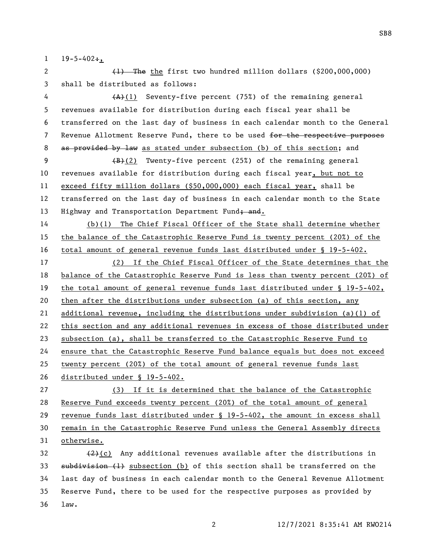$1 \t19-5-402$ ;

2 (1) The the first two hundred million dollars (\$200,000,000) shall be distributed as follows:

4  $(A)$ (1) Seventy-five percent (75%) of the remaining general revenues available for distribution during each fiscal year shall be transferred on the last day of business in each calendar month to the General 7 Revenue Allotment Reserve Fund, there to be used for the respective purposes 8 as provided by law as stated under subsection (b) of this section; and

9 (B)(2) Twenty-five percent (25%) of the remaining general revenues available for distribution during each fiscal year, but not to exceed fifty million dollars (\$50,000,000) each fiscal year, shall be transferred on the last day of business in each calendar month to the State 13 Highway and Transportation Department Fund; and.

 (b)(1) The Chief Fiscal Officer of the State shall determine whether the balance of the Catastrophic Reserve Fund is twenty percent (20%) of the total amount of general revenue funds last distributed under § 19-5-402.

 (2) If the Chief Fiscal Officer of the State determines that the balance of the Catastrophic Reserve Fund is less than twenty percent (20%) of the total amount of general revenue funds last distributed under § 19-5-402, then after the distributions under subsection (a) of this section, any additional revenue, including the distributions under subdivision (a)(1) of this section and any additional revenues in excess of those distributed under subsection (a), shall be transferred to the Catastrophic Reserve Fund to ensure that the Catastrophic Reserve Fund balance equals but does not exceed twenty percent (20%) of the total amount of general revenue funds last distributed under § 19-5-402.

 (3) If it is determined that the balance of the Catastrophic Reserve Fund exceeds twenty percent (20%) of the total amount of general revenue funds last distributed under § 19-5-402, the amount in excess shall remain in the Catastrophic Reserve Fund unless the General Assembly directs otherwise.

 $(2)(c)$  Any additional revenues available after the distributions in 33 subdivision (1) subsection (b) of this section shall be transferred on the last day of business in each calendar month to the General Revenue Allotment Reserve Fund, there to be used for the respective purposes as provided by law.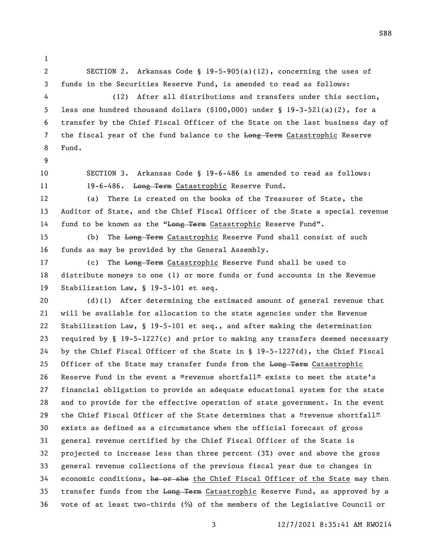SECTION 2. Arkansas Code § 19-5-905(a)(12), concerning the uses of funds in the Securities Reserve Fund, is amended to read as follows: (12) After all distributions and transfers under this section, less one hundred thousand dollars (\$100,000) under § 19-3-521(a)(2), for a transfer by the Chief Fiscal Officer of the State on the last business day of 7 the fiscal year of the fund balance to the Long Term Catastrophic Reserve Fund. SECTION 3. Arkansas Code § 19-6-486 is amended to read as follows: 11 19-6-486. Long Term Catastrophic Reserve Fund. (a) There is created on the books of the Treasurer of State, the Auditor of State, and the Chief Fiscal Officer of the State a special revenue 14 fund to be known as the "Long Term Catastrophic Reserve Fund". 15 (b) The Long Term Catastrophic Reserve Fund shall consist of such funds as may be provided by the General Assembly. 17 (c) The Long Term Catastrophic Reserve Fund shall be used to distribute moneys to one (1) or more funds or fund accounts in the Revenue Stabilization Law, § 19-5-101 et seq. (d)(1) After determining the estimated amount of general revenue that will be available for allocation to the state agencies under the Revenue Stabilization Law, § 19-5-101 et seq., and after making the determination required by § 19-5-1227(c) and prior to making any transfers deemed necessary by the Chief Fiscal Officer of the State in § 19-5-1227(d), the Chief Fiscal 25 Officer of the State may transfer funds from the Long Term Catastrophic 26 Reserve Fund in the event a "revenue shortfall" exists to meet the state's financial obligation to provide an adequate educational system for the state and to provide for the effective operation of state government. In the event 29 the Chief Fiscal Officer of the State determines that a "revenue shortfall" exists as defined as a circumstance when the official forecast of gross general revenue certified by the Chief Fiscal Officer of the State is projected to increase less than three percent (3%) over and above the gross general revenue collections of the previous fiscal year due to changes in 34 economic conditions, he or she the Chief Fiscal Officer of the State may then 35 transfer funds from the Long Term Catastrophic Reserve Fund, as approved by a vote of at least two-thirds (⅔) of the members of the Legislative Council or

SB8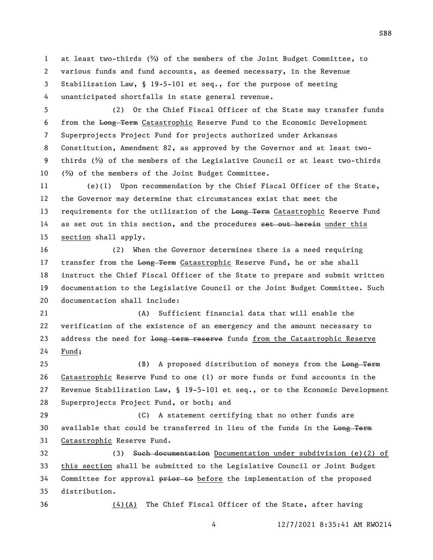at least two-thirds (⅔) of the members of the Joint Budget Committee, to various funds and fund accounts, as deemed necessary, in the Revenue Stabilization Law, § 19-5-101 et seq., for the purpose of meeting unanticipated shortfalls in state general revenue.

 (2) Or the Chief Fiscal Officer of the State may transfer funds from the Long Term Catastrophic Reserve Fund to the Economic Development Superprojects Project Fund for projects authorized under Arkansas Constitution, Amendment 82, as approved by the Governor and at least two- thirds (⅔) of the members of the Legislative Council or at least two-thirds (⅔) of the members of the Joint Budget Committee.

 (e)(1) Upon recommendation by the Chief Fiscal Officer of the State, the Governor may determine that circumstances exist that meet the 13 requirements for the utilization of the Long Term Catastrophic Reserve Fund 14 as set out in this section, and the procedures set out herein under this section shall apply.

 (2) When the Governor determines there is a need requiring 17 transfer from the Long Term Catastrophic Reserve Fund, he or she shall instruct the Chief Fiscal Officer of the State to prepare and submit written documentation to the Legislative Council or the Joint Budget Committee. Such documentation shall include:

 (A) Sufficient financial data that will enable the verification of the existence of an emergency and the amount necessary to 23 address the need for long term reserve funds from the Catastrophic Reserve Fund;

25 (B) A proposed distribution of moneys from the Long Term Catastrophic Reserve Fund to one (1) or more funds or fund accounts in the Revenue Stabilization Law, § 19-5-101 et seq., or to the Economic Development Superprojects Project Fund, or both; and

 (C) A statement certifying that no other funds are 30 available that could be transferred in lieu of the funds in the Long Term Catastrophic Reserve Fund.

 (3) Such documentation Documentation under subdivision (e)(2) of this section shall be submitted to the Legislative Council or Joint Budget 34 Committee for approval  $\frac{p}{p+1}$  of before the implementation of the proposed distribution.

(4)(A) The Chief Fiscal Officer of the State, after having

SB8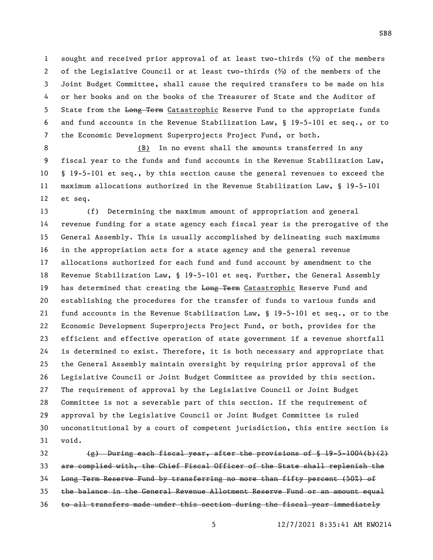sought and received prior approval of at least two-thirds (⅔) of the members of the Legislative Council or at least two-thirds (⅔) of the members of the Joint Budget Committee, shall cause the required transfers to be made on his or her books and on the books of the Treasurer of State and the Auditor of 5 State from the Long Term Catastrophic Reserve Fund to the appropriate funds and fund accounts in the Revenue Stabilization Law, § 19-5-101 et seq., or to the Economic Development Superprojects Project Fund, or both.

 (B) In no event shall the amounts transferred in any fiscal year to the funds and fund accounts in the Revenue Stabilization Law, § 19-5-101 et seq., by this section cause the general revenues to exceed the maximum allocations authorized in the Revenue Stabilization Law, § 19-5-101 et seq.

 (f) Determining the maximum amount of appropriation and general revenue funding for a state agency each fiscal year is the prerogative of the General Assembly. This is usually accomplished by delineating such maximums in the appropriation acts for a state agency and the general revenue allocations authorized for each fund and fund account by amendment to the Revenue Stabilization Law, § 19-5-101 et seq. Further, the General Assembly 19 has determined that creating the Long Term Catastrophic Reserve Fund and establishing the procedures for the transfer of funds to various funds and fund accounts in the Revenue Stabilization Law, § 19-5-101 et seq., or to the Economic Development Superprojects Project Fund, or both, provides for the efficient and effective operation of state government if a revenue shortfall is determined to exist. Therefore, it is both necessary and appropriate that the General Assembly maintain oversight by requiring prior approval of the Legislative Council or Joint Budget Committee as provided by this section. The requirement of approval by the Legislative Council or Joint Budget Committee is not a severable part of this section. If the requirement of approval by the Legislative Council or Joint Budget Committee is ruled unconstitutional by a court of competent jurisdiction, this entire section is void.

 $\{e\}$  During each fiscal year, after the provisions of  $\S$  19-5-1004(b)(2) are complied with, the Chief Fiscal Officer of the State shall replenish the Long Term Reserve Fund by transferring no more than fifty percent (50%) of the balance in the General Revenue Allotment Reserve Fund or an amount equal to all transfers made under this section during the fiscal year immediately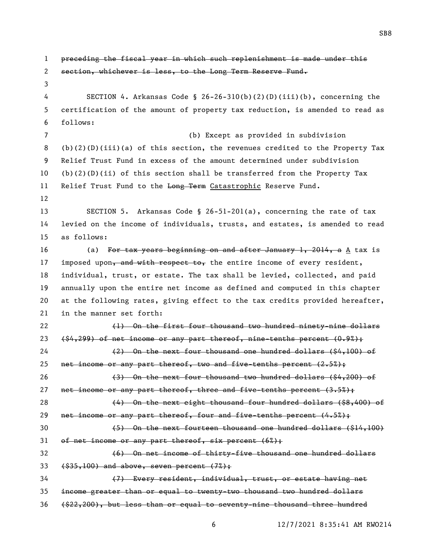preceding the fiscal year in which such replenishment is made under this section, whichever is less, to the Long Term Reserve Fund. SECTION 4. Arkansas Code § 26-26-310(b)(2)(D)(iii)(b), concerning the certification of the amount of property tax reduction, is amended to read as follows: (b) Except as provided in subdivision (b)(2)(D)(iii)(a) of this section, the revenues credited to the Property Tax Relief Trust Fund in excess of the amount determined under subdivision 10 (b)(2)(D)(ii) of this section shall be transferred from the Property Tax 11 Relief Trust Fund to the Long Term Catastrophic Reserve Fund. SECTION 5. Arkansas Code § 26-51-201(a), concerning the rate of tax levied on the income of individuals, trusts, and estates, is amended to read as follows: 16 (a) For tax years beginning on and after January 1, 2014, a  $A$  tax is 17 imposed upon, and with respect to, the entire income of every resident, individual, trust, or estate. The tax shall be levied, collected, and paid annually upon the entire net income as defined and computed in this chapter at the following rates, giving effect to the tax credits provided hereafter, in the manner set forth: 22 (1) On the first four thousand two hundred ninety-nine dollars  $(84,299)$  of net income or any part thereof, nine-tenths percent  $(0.9%)$ ; (2) On the next four thousand one hundred dollars (\$4,100) of 25 net income or any part thereof, two and five-tenths percent (2.5%); (3) On the next four thousand two hundred dollars (\$4,200) of 27 net income or any part thereof, three and five-tenths percent  $(3.5\%)$ ; 28 (4) On the next eight thousand four hundred dollars (\$8,400) of 29 net income or any part thereof, four and five-tenths percent  $(4.5%)$ ; (5) On the next fourteen thousand one hundred dollars (\$14,100) 31 of net income or any part thereof, six percent  $(6\%)$ ; (6) On net income of thirty-five thousand one hundred dollars  $(33, 100)$  and above, seven percent  $(7\%)$ ; (7) Every resident, individual, trust, or estate having net income greater than or equal to twenty-two thousand two hundred dollars (\$22,200), but less than or equal to seventy-nine thousand three hundred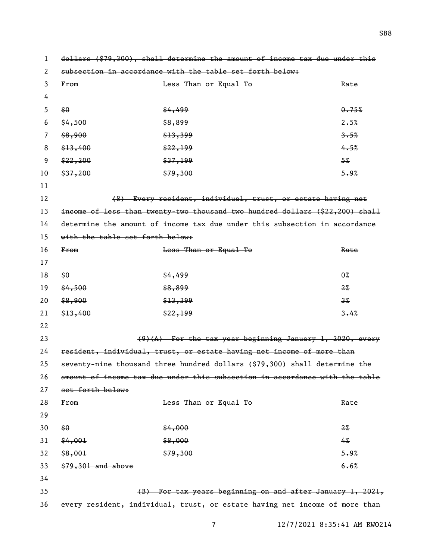dollars (\$79,300), shall determine the amount of income tax due under this subsection in accordance with the table set forth below: From Less Than or Equal To Rate  $\frac{1}{50}$   $\frac{1}{50}$   $\frac{1}{50}$   $\frac{1}{50}$   $\frac{1}{50}$   $\frac{1}{50}$   $\frac{1}{50}$   $\frac{1}{50}$   $\frac{1}{50}$   $\frac{1}{50}$   $\frac{1}{50}$   $\frac{1}{50}$   $\frac{1}{50}$   $\frac{1}{50}$   $\frac{1}{50}$   $\frac{1}{50}$   $\frac{1}{50}$   $\frac{1}{50}$   $\frac{1}{50}$   $\frac{1}{50}$  $6 \frac{\text{ }4,500}{\text{ }2.5\%}$  $\frac{1}{3.5\%}$   $\frac{1}{3.5\%}$  3.5%  $\frac{13,400}{4.5\%}$   $\frac{22,199}{4.5\%}$  $\frac{22}{37}$   $\frac{200}{37}$   $\frac{25}{37}$   $\frac{199}{37}$  $10 \quad \frac{1}{2}$  \$37,200  $\frac{1}{2}$  \$79,300  $\frac{1}{2}$  \$9% (8) Every resident, individual, trust, or estate having net income of less than twenty-two thousand two hundred dollars (\$22,200) shall determine the amount of income tax due under this subsection in accordance with the table set forth below: 16 From Eess Than or Equal To Rate  $18 \frac{1}{180}$   $18 \frac{1}{180}$   $18 \frac{1}{180}$   $18 \frac{1}{180}$   $18 \frac{1}{180}$   $18 \frac{1}{180}$   $18 \frac{1}{180}$   $18 \frac{1}{180}$   $18 \frac{1}{180}$   $18 \frac{1}{180}$   $18 \frac{1}{180}$   $18 \frac{1}{180}$   $18 \frac{1}{180}$   $18 \frac{1}{180}$   $18 \frac{1}{180}$   $18 \frac{1}{180$  $19 \quad \frac{64}{56} \quad \frac{1}{2\%}$  $\frac{1}{6}$   $\frac{13}{39}$   $\frac{13}{39}$   $\frac{13}{39}$   $\frac{13}{39}$   $\frac{13}{39}$   $\frac{13}{39}$   $\frac{13}{39}$   $\frac{13}{39}$   $\frac{13}{39}$   $\frac{13}{39}$   $\frac{13}{39}$   $\frac{13}{39}$   $\frac{13}{39}$   $\frac{13}{39}$   $\frac{13}{39}$   $\frac{13}{39}$   $\frac{13}{39}$   $\frac{$  $\frac{1}{24.4}$   $\frac{1}{24.4}$   $\frac{1}{24.4}$   $\frac{1}{24.4}$   $\frac{1}{24.4}$   $\frac{1}{24.4}$   $\frac{1}{24.4}$   $\frac{1}{24.4}$   $\frac{1}{24.4}$   $\frac{1}{24.4}$   $\frac{1}{24.4}$   $\frac{1}{24.4}$   $\frac{1}{24.4}$   $\frac{1}{24.4}$   $\frac{1}{24.4}$   $\frac{1}{24.4}$   $\frac{1}{24.4$  (9)(A) For the tax year beginning January 1, 2020, every resident, individual, trust, or estate having net income of more than seventy-nine thousand three hundred dollars (\$79,300) shall determine the amount of income tax due under this subsection in accordance with the table set forth below: 28 From Contract Contract Contract Contract Contract Contract Contract Contract Contract Contract Contract Contract Contract Contract Contract Contract Contract Contract Contract Contract Contract Contract Contract Contrac  $\frac{60}{30}$   $\frac{22}{30}$  $\frac{64,001}{4\%}$   $\frac{68,000}{4\%}$  $\frac{1}{5}$ ,  $\frac{1}{5}$ ,  $\frac{1}{5}$ ,  $\frac{1}{5}$ ,  $\frac{1}{5}$ ,  $\frac{1}{5}$ ,  $\frac{1}{5}$ ,  $\frac{1}{5}$ ,  $\frac{1}{5}$ ,  $\frac{1}{5}$ ,  $\frac{1}{5}$ ,  $\frac{1}{5}$ ,  $\frac{1}{5}$ ,  $\frac{1}{5}$ ,  $\frac{1}{5}$ ,  $\frac{1}{5}$ ,  $\frac{1}{5}$ ,  $\frac{1}{5}$ ,  $\frac{1}{5}$ ,  $\frac{1}{5}$  $33 \frac{$79,301}{}$  and above 6.6% (B) For tax years beginning on and after January 1, 2021, every resident, individual, trust, or estate having net income of more than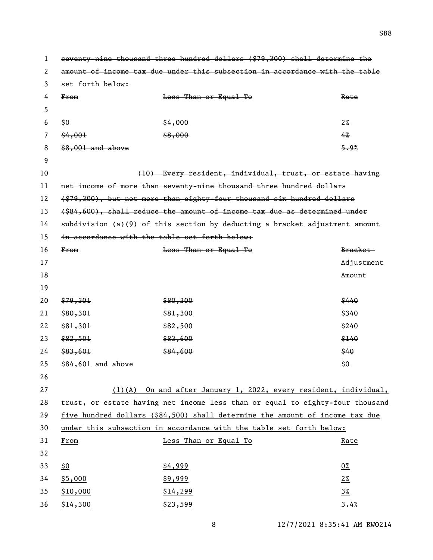| 1  | seventy-nine thousand three hundred dollars (\$79,300) shall determine the  |                                                                               |                |  |  |
|----|-----------------------------------------------------------------------------|-------------------------------------------------------------------------------|----------------|--|--|
| 2  | amount of income tax due under this subsection in accordance with the table |                                                                               |                |  |  |
| 3  | set forth below:                                                            |                                                                               |                |  |  |
| 4  | F <sub>rom</sub>                                                            | Less Than or Equal To                                                         | Rate           |  |  |
| 5  |                                                                             |                                                                               |                |  |  |
| 6  | \$0                                                                         | \$4,000                                                                       | $2\%$          |  |  |
| 7  | \$4,001                                                                     | \$8,000                                                                       | 4%             |  |  |
| 8  | $$8,001$ and above                                                          |                                                                               | 5.9%           |  |  |
| 9  |                                                                             |                                                                               |                |  |  |
| 10 |                                                                             | (10) Every resident, individual, trust, or estate having                      |                |  |  |
| 11 |                                                                             | net income of more than seventy-nine thousand three hundred dollars           |                |  |  |
| 12 |                                                                             | (\$79,300), but not more than eighty-four thousand six hundred dollars        |                |  |  |
| 13 |                                                                             | (\$84,600), shall reduce the amount of income tax due as determined under     |                |  |  |
| 14 |                                                                             | subdivision (a)(9) of this section by deducting a bracket adjustment amount   |                |  |  |
| 15 | in accordance with the table set forth below:                               |                                                                               |                |  |  |
| 16 | From                                                                        | Less Than or Equal To                                                         | Bracket-       |  |  |
| 17 |                                                                             |                                                                               | Adjustment     |  |  |
| 18 |                                                                             |                                                                               | Amount         |  |  |
| 19 |                                                                             |                                                                               |                |  |  |
| 20 | \$79,301                                                                    | \$80,300                                                                      | \$440          |  |  |
| 21 | \$80,301                                                                    | \$81,300                                                                      | \$340          |  |  |
| 22 | \$81,301                                                                    | \$82,500                                                                      | \$240          |  |  |
| 23 | \$82,501                                                                    | \$83,600                                                                      | \$140          |  |  |
| 24 | \$83,601                                                                    | \$84,600                                                                      | \$40           |  |  |
| 25 | \$84,601 and above                                                          |                                                                               | \$0            |  |  |
| 26 |                                                                             |                                                                               |                |  |  |
| 27 |                                                                             | $(1)$ (A) On and after January 1, 2022, every resident, individual,           |                |  |  |
| 28 |                                                                             | trust, or estate having net income less than or equal to eighty-four thousand |                |  |  |
| 29 |                                                                             | five hundred dollars (\$84,500) shall determine the amount of income tax due  |                |  |  |
| 30 | under this subsection in accordance with the table set forth below:         |                                                                               |                |  |  |
| 31 | From                                                                        | Less Than or Equal To                                                         | Rate           |  |  |
| 32 |                                                                             |                                                                               |                |  |  |
| 33 | \$0                                                                         | \$4,999                                                                       | $0\%$          |  |  |
| 34 | \$5,000                                                                     | \$9,999                                                                       | $2\%$          |  |  |
| 35 | \$10,000                                                                    | \$14,299                                                                      | $3\frac{8}{2}$ |  |  |
| 36 | \$14,300                                                                    | \$23,599                                                                      | 3.4%           |  |  |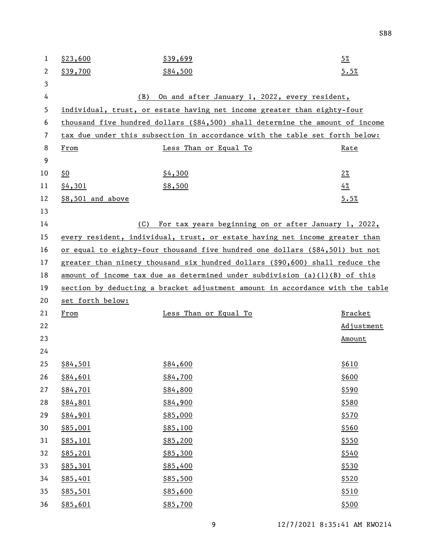| 1  | \$23,600          | \$39,699                                                                      | $5\%$          |
|----|-------------------|-------------------------------------------------------------------------------|----------------|
| 2  | \$39,700          | \$84,500                                                                      | 5.5%           |
| 3  |                   |                                                                               |                |
| 4  | (B)               | On and after January 1, 2022, every resident,                                 |                |
| 5  |                   | individual, trust, or estate having net income greater than eighty-four       |                |
| 6  |                   | thousand five hundred dollars (\$84,500) shall determine the amount of income |                |
| 7  |                   | tax due under this subsection in accordance with the table set forth below:   |                |
| 8  | From              | Less Than or Equal To                                                         | Rate           |
| 9  |                   |                                                                               |                |
| 10 | \$0               | \$4,300                                                                       | $2\%$          |
| 11 | \$4,301           | \$8,500                                                                       | 4%             |
| 12 | \$8,501 and above |                                                                               | 5.5%           |
| 13 |                   |                                                                               |                |
| 14 | (C)               | For tax years beginning on or after January 1, 2022,                          |                |
| 15 |                   | every resident, individual, trust, or estate having net income greater than   |                |
| 16 |                   | or equal to eighty-four thousand five hundred one dollars (\$84,501) but not  |                |
| 17 |                   | greater than ninety thousand six hundred dollars (\$90,600) shall reduce the  |                |
| 18 |                   | amount of income tax due as determined under subdivision $(a)(1)(B)$ of this  |                |
| 19 |                   | section by deducting a bracket adjustment amount in accordance with the table |                |
|    |                   |                                                                               |                |
| 20 | set forth below:  |                                                                               |                |
| 21 | From              | Less Than or Equal To                                                         | <b>Bracket</b> |
| 22 |                   |                                                                               | Adjustment     |
| 23 |                   |                                                                               | Amount         |
| 24 |                   |                                                                               |                |
| 25 | \$84,501          | \$84,600                                                                      | \$610          |
| 26 | \$84,601          | \$84,700                                                                      | \$600          |
| 27 | \$84,701          | \$84,800                                                                      | \$590          |
| 28 | \$84,801          | \$84,900                                                                      | \$580          |
| 29 | \$84,901          | \$85,000                                                                      | \$570          |
| 30 | \$85,001          | \$85,100                                                                      | \$560          |
| 31 | \$85,101          | \$85,200                                                                      | \$550          |
| 32 | \$85,201          | \$85,300                                                                      | \$540          |
| 33 | \$85,301          | \$85,400                                                                      | \$530          |
| 34 | \$85,401          | \$85,500                                                                      | \$520          |
| 35 | \$85,501          | \$85,600                                                                      | \$510          |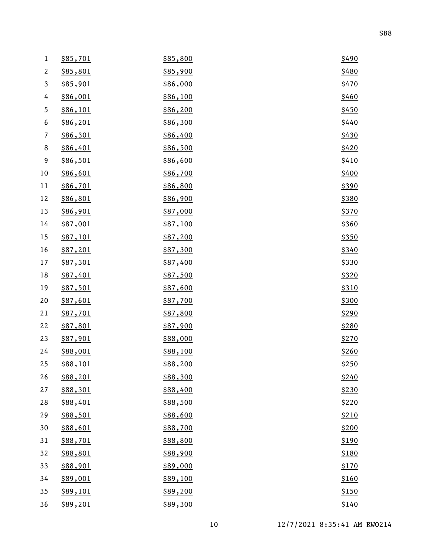| $\mathbf{1}$              | \$85,701        | \$85,800 | \$490        |
|---------------------------|-----------------|----------|--------------|
| $\sqrt{2}$                | \$85,801        | \$85,900 | \$480        |
| $\ensuremath{\mathsf{3}}$ | \$85,901        | \$86,000 | \$470        |
| 4                         | \$86,001        | \$86,100 | \$460        |
| $\mathfrak s$             | \$86,101        | \$86,200 | \$450        |
| 6                         | \$86,201        | \$86,300 | \$440        |
| 7                         | \$86,301        | \$86,400 | \$430        |
| 8                         | \$86,401        | \$86,500 | \$420        |
| 9                         | \$86,501        | \$86,600 | \$410        |
| 10                        | \$86,601        | \$86,700 | \$400        |
| 11                        | \$86,701        | \$86,800 | \$390        |
| 12                        | \$86,801        | \$86,900 | \$380        |
| 13                        | \$86,901        | \$87,000 | \$370        |
| 14                        | \$87,001        | \$87,100 | \$360        |
| 15                        | \$87,101        | \$87,200 | \$350        |
| 16                        | \$87,201        | \$87,300 | \$340        |
| 17                        | \$87,301        | \$87,400 | \$330        |
| 18                        | \$87,401        | \$87,500 | \$320        |
| 19                        | \$87,501        | \$87,600 | <u>\$310</u> |
| 20                        | \$87,601        | \$87,700 | \$300        |
| 21                        | \$87,701        | \$87,800 | \$290        |
| 22                        | \$87,801        | \$87,900 | \$280        |
| 23                        | \$87,901        | \$88,000 | \$270        |
| 24                        | \$88,001        | \$88,100 | \$260        |
| 25                        | <u>\$88,101</u> | \$88,200 | \$250        |
| 26                        | \$88,201        | \$88,300 | \$240        |
| 27                        | \$88,301        | \$88,400 | \$230        |
| 28                        | \$88,401        | \$88,500 | \$220        |
| 29                        | \$88,501        | \$88,600 | \$210        |
| 30                        | \$88,601        | \$88,700 | \$200        |
| 31                        | \$88,701        | \$88,800 | \$190        |
| 32                        | \$88,801        | \$88,900 | \$180        |
| 33                        | \$88,901        | \$89,000 | \$170        |
| 34                        | \$89,001        | \$89,100 | \$160        |
| 35                        | \$89,101        | \$89,200 | \$150        |
| 36                        | \$89,201        | \$89,300 | \$140        |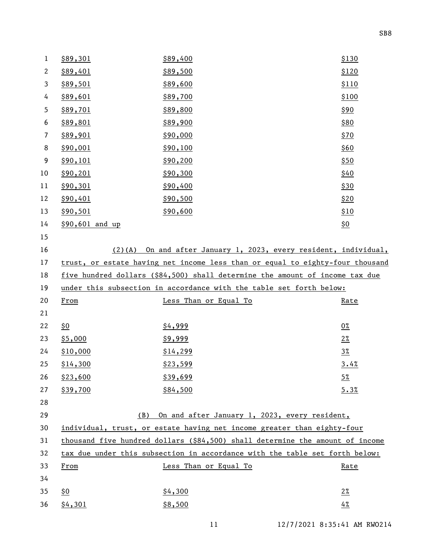| $\mathbf{1}$   | \$89,301        | \$89,400                                                                      | \$130      |
|----------------|-----------------|-------------------------------------------------------------------------------|------------|
| $\mathbf{2}$   | \$89,401        | \$89,500                                                                      | \$120      |
| 3              | \$89,501        | \$89,600                                                                      | \$110      |
| 4              | \$89,601        | \$89,700                                                                      | \$100      |
| 5              | \$89,701        | \$89,800                                                                      | \$90       |
| 6              | \$89,801        | \$89,900                                                                      | \$80       |
| $\overline{7}$ | \$89,901        | \$90,000                                                                      | \$70       |
| 8              | \$90,001        | \$90,100                                                                      | \$60       |
| 9              | \$90,101        | \$90,200                                                                      | \$50       |
| 10             | \$90,201        | \$90,300                                                                      | \$40       |
| 11             | \$90,301        | \$90,400                                                                      | \$30       |
| 12             | \$90,401        | \$90,500                                                                      | \$20       |
| 13             | \$90,501        | \$90,600                                                                      | \$10       |
| 14             | \$90,601 and up |                                                                               | <u>\$0</u> |
| 15             |                 |                                                                               |            |
| 16             |                 | (2)(A) On and after January 1, 2023, every resident, individual,              |            |
| 17             |                 | trust, or estate having net income less than or equal to eighty-four thousand |            |
| 18             |                 | five hundred dollars (\$84,500) shall determine the amount of income tax due  |            |
|                |                 |                                                                               |            |
| 19             |                 | under this subsection in accordance with the table set forth below:           |            |
| 20             | From            | Less Than or Equal To                                                         | Rate       |
| 21             |                 |                                                                               |            |
| 22             | \$0             | \$4,999                                                                       | $0\%$      |
| 23             | \$5,000         | \$9,999                                                                       | $2\%$      |
| 24             | \$10,000        | \$14,299                                                                      | $3\%$      |
| 25             | \$14,300        | \$23,599                                                                      | 3.4%       |
| 26             | \$23,600        | \$39,699                                                                      | $5\%$      |
| 27             | \$39,700        | \$84,500                                                                      | 5.3%       |
| 28             |                 |                                                                               |            |
| 29             | (B)             | On and after January 1, 2023, every resident,                                 |            |
| 30             |                 | individual, trust, or estate having net income greater than eighty-four       |            |
| 31             |                 | thousand five hundred dollars (\$84,500) shall determine the amount of income |            |
| 32             |                 | tax due under this subsection in accordance with the table set forth below:   |            |
| 33             | From            | Less Than or Equal To                                                         | Rate       |
| 34             |                 |                                                                               |            |
| 35             | \$0             | \$4,300                                                                       | $2\%$      |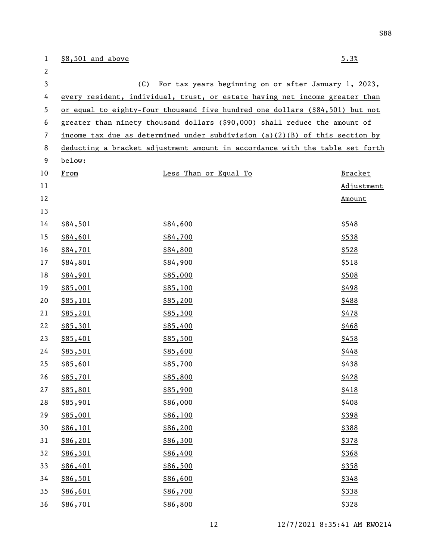| $\mathbf 1$    | \$8,501 and above |                                                                              | 5.3%       |
|----------------|-------------------|------------------------------------------------------------------------------|------------|
| $\mathbf{2}$   |                   |                                                                              |            |
| 3              | (C)               | For tax years beginning on or after January 1, 2023,                         |            |
| 4              |                   | every resident, individual, trust, or estate having net income greater than  |            |
| 5              |                   | or equal to eighty-four thousand five hundred one dollars (\$84,501) but not |            |
| 6              |                   | greater than ninety thousand dollars (\$90,000) shall reduce the amount of   |            |
| $\overline{7}$ |                   | income tax due as determined under subdivision (a)(2)(B) of this section by  |            |
| 8              |                   | deducting a bracket adjustment amount in accordance with the table set forth |            |
| 9              | below:            |                                                                              |            |
| 10             | From              | Less Than or Equal To                                                        | Bracket    |
| 11             |                   |                                                                              | Adjustment |
| 12             |                   |                                                                              | Amount     |
| 13             |                   |                                                                              |            |
| 14             | \$84,501          | \$84,600                                                                     | \$548      |
| 15             | \$84,601          | \$84,700                                                                     | \$538      |
| 16             | \$84,701          | \$84,800                                                                     | \$528      |
| 17             | \$84,801          | \$84,900                                                                     | \$518      |
| 18             | \$84,901          | \$85,000                                                                     | \$508      |
| 19             | \$85,001          | \$85,100                                                                     | \$498      |
| 20             | \$85,101          | \$85,200                                                                     | \$488      |
| 21             | \$85,201          | \$85,300                                                                     | \$478      |
| 22             | \$85,301          | \$85,400                                                                     | \$468      |
| 23             | \$85,401          | \$85,500                                                                     | \$458      |
| 24             | \$85,501          | \$85,600                                                                     | \$448      |
| 25             | \$85,601          | \$85,700                                                                     | \$438      |
| 26             | <u>\$85,701</u>   | \$85,800                                                                     | \$428      |
| 27             | \$85,801          | \$85,900                                                                     | \$418      |
| 28             | \$85,901          | \$86,000                                                                     | \$408      |
| 29             | \$85,001          | \$86,100                                                                     | \$398      |
| 30             | \$86,101          | \$86,200                                                                     | \$388      |
| 31             | \$86,201          | \$86,300                                                                     | \$378      |
| 32             | \$86,301          | \$86,400                                                                     | \$368      |
| 33             | \$86,401          | \$86,500                                                                     | \$358      |
| 34             | \$86,501          | \$86,600                                                                     | \$348      |
| 35             | \$86,601          | \$86,700                                                                     | \$338      |
| 36             | \$86,701          | \$86,800                                                                     | \$328      |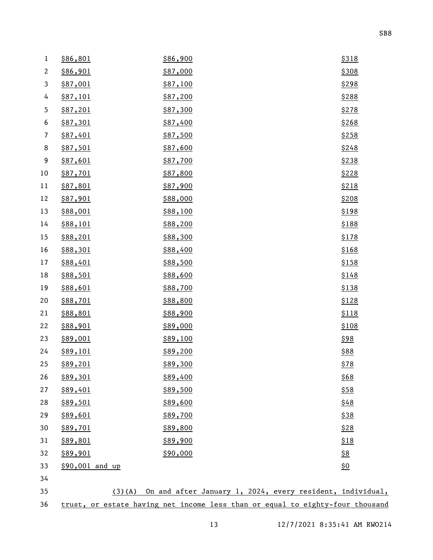| $\,1$          | \$86,801        | \$86,900                                                                      | \$318             |
|----------------|-----------------|-------------------------------------------------------------------------------|-------------------|
| $\mathbf{2}$   | \$86,901        | \$87,000                                                                      | \$308             |
| 3              | \$87,001        | \$87,100                                                                      | \$298             |
| 4              | <u>\$87,101</u> | \$87,200                                                                      | \$288             |
| 5              | \$87,201        | \$87,300                                                                      | \$278             |
| 6              | <u>\$87,301</u> | \$87,400                                                                      | \$268             |
| $\overline{7}$ | \$87,401        | \$87,500                                                                      | \$258             |
| $\,8\,$        | \$87,501        | \$87,600                                                                      | \$248             |
| 9              | \$87,601        | \$87,700                                                                      | \$238             |
| 10             | <u>\$87,701</u> | \$87,800                                                                      | \$228             |
| 11             | \$87,801        | \$87,900                                                                      | \$218             |
| 12             | \$87,901        | \$88,000                                                                      | \$208             |
| 13             | \$88,001        | \$88,100                                                                      | \$198             |
| 14             | \$88,101        | \$88,200                                                                      | \$188             |
| 15             | \$88,201        | \$88,300                                                                      | \$178             |
| 16             | \$88,301        | \$88,400                                                                      | \$168             |
| 17             | \$88,401        | \$88,500                                                                      | \$158             |
| 18             | \$88,501        | \$88,600                                                                      | \$148             |
| 19             | \$88,601        | \$88,700                                                                      | \$138             |
| 20             | \$88,701        | \$88,800                                                                      | \$128             |
| 21             | \$88,801        | \$88,900                                                                      | \$118             |
| 22             | \$88,901        | \$89,000                                                                      | \$108             |
| 23             | \$89,001        | \$89,100                                                                      | \$98              |
| 24             | \$89,101        | \$89,200                                                                      | \$88              |
| 25             | \$89,201        | \$89,300                                                                      | \$78              |
| 26             | \$89,301        | \$89,400                                                                      | \$68              |
| 27             | \$89,401        | \$89,500                                                                      | \$58              |
| 28             | \$89,501        | \$89,600                                                                      | \$48              |
| 29             | \$89,601        | \$89,700                                                                      | \$38              |
| 30             | \$89,701        | \$89,800                                                                      | \$28              |
| 31             | \$89,801        | \$89,900                                                                      | \$18              |
| 32             | \$89,901        | \$90,000                                                                      | $\underline{\$8}$ |
| 33             | \$90,001 and up |                                                                               | $\underline{\$0}$ |
| 34             |                 |                                                                               |                   |
| 35             | $(3)$ (A)       | On and after January 1, 2024, every resident, individual,                     |                   |
| 36             |                 | trust, or estate having net income less than or equal to eighty-four thousand |                   |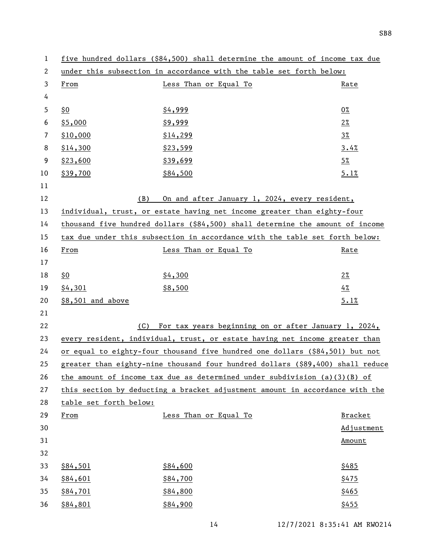| 1            |                                                                     | five hundred dollars (\$84,500) shall determine the amount of income tax due   |                |
|--------------|---------------------------------------------------------------------|--------------------------------------------------------------------------------|----------------|
| $\mathbf{2}$ | under this subsection in accordance with the table set forth below: |                                                                                |                |
| 3            | From                                                                | Less Than or Equal To                                                          | Rate           |
| 4            |                                                                     |                                                                                |                |
| 5            | <u>\$0</u>                                                          | \$4,999                                                                        | $0\%$          |
| 6            | \$5,000                                                             | \$9,999                                                                        | $2\%$          |
| 7            | \$10,000                                                            | \$14,299                                                                       | $3\frac{8}{2}$ |
| 8            | \$14,300                                                            | \$23,599                                                                       | 3.4%           |
| 9            | \$23,600                                                            | \$39,699                                                                       | $5\%$          |
| 10           | \$39,700                                                            | \$84,500                                                                       | 5.1%           |
| 11           |                                                                     |                                                                                |                |
| 12           | (B)                                                                 | On and after January 1, 2024, every resident,                                  |                |
| 13           |                                                                     | individual, trust, or estate having net income greater than eighty-four        |                |
| 14           |                                                                     | thousand five hundred dollars (\$84,500) shall determine the amount of income  |                |
| 15           |                                                                     | tax due under this subsection in accordance with the table set forth below:    |                |
| 16           | From                                                                | Less Than or Equal To                                                          | Rate           |
| 17           |                                                                     |                                                                                |                |
| 18           | \$0                                                                 | \$4,300                                                                        | $2\%$          |
| 19           | \$4,301                                                             | \$8,500                                                                        | 4%             |
| 20           | \$8,501 and above                                                   |                                                                                | 5.1%           |
| 21           |                                                                     |                                                                                |                |
| 22           | (C)                                                                 | For tax years beginning on or after January 1, 2024,                           |                |
| 23           |                                                                     | every resident, individual, trust, or estate having net income greater than    |                |
| 24           |                                                                     | or equal to eighty-four thousand five hundred one dollars (\$84,501) but not   |                |
| 25           |                                                                     | greater than eighty-nine thousand four hundred dollars (\$89,400) shall reduce |                |
| 26           |                                                                     | the amount of income tax due as determined under subdivision $(a)(3)(B)$ of    |                |
| 27           |                                                                     | this section by deducting a bracket adjustment amount in accordance with the   |                |
| 28           | table set forth below:                                              |                                                                                |                |
| 29           | From                                                                | Less Than or Equal To                                                          | <b>Bracket</b> |
| 30           |                                                                     |                                                                                | Adjustment     |
| 31           |                                                                     |                                                                                | Amount         |
| 32           |                                                                     |                                                                                |                |
| 33           | \$84,501                                                            | \$84,600                                                                       | \$485          |
| 34           | \$84,601                                                            | \$84,700                                                                       | \$475          |
| 35           | \$84,701                                                            | \$84,800                                                                       | \$465          |
| 36           | \$84,801                                                            | \$84,900                                                                       | \$455          |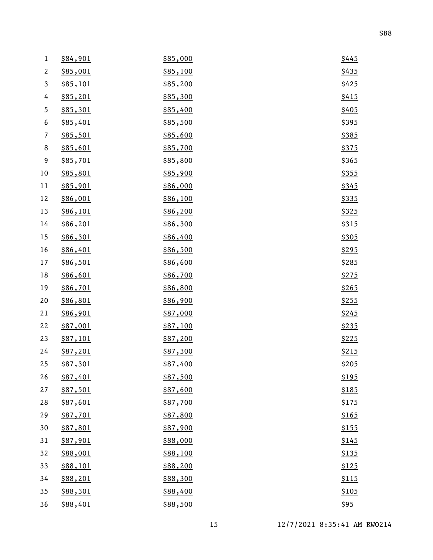| $\,1$                    | \$84,901 | \$85,000 | \$445        |
|--------------------------|----------|----------|--------------|
| $\mathbf{2}$             | \$85,001 | \$85,100 | \$435        |
| $\mathfrak{Z}$           | \$85,101 | \$85,200 | \$425        |
| 4                        | \$85,201 | \$85,300 | \$415        |
| $\mathfrak s$            | \$85,301 | \$85,400 | \$405        |
| 6                        | \$85,401 | \$85,500 | \$395        |
| $\overline{\phantom{a}}$ | \$85,501 | \$85,600 | \$385        |
| $\,8\,$                  | \$85,601 | \$85,700 | \$375        |
| 9                        | \$85,701 | \$85,800 | \$365        |
| 10                       | \$85,801 | \$85,900 | \$355        |
| 11                       | \$85,901 | \$86,000 | \$345        |
| 12                       | \$86,001 | \$86,100 | \$335        |
| 13                       | \$86,101 | \$86,200 | \$325        |
| 14                       | \$86,201 | \$86,300 | \$315        |
| 15                       | \$86,301 | \$86,400 | \$305        |
| 16                       | \$86,401 | \$86,500 | \$295        |
| 17                       | \$86,501 | \$86,600 | \$285        |
| 18                       | \$86,601 | \$86,700 | \$275        |
| 19                       | \$86,701 | \$86,800 | \$265        |
| 20                       | \$86,801 | \$86,900 | \$255        |
| 21                       | \$86,901 | \$87,000 | \$245        |
| 22                       | \$87,001 | \$87,100 | \$235        |
| 23                       | \$87,101 | \$87,200 | \$225        |
| 24                       | \$87,201 | \$87,300 | \$215        |
| 25                       | \$87,301 | \$87,400 | \$205        |
| 26                       | \$87,401 | \$87,500 | <u>\$195</u> |
| 27                       | \$87,501 | \$87,600 | \$185        |
| 28                       | \$87,601 | \$87,700 | \$175        |
| 29                       | \$87,701 | \$87,800 | \$165        |
| 30                       | \$87,801 | \$87,900 | \$155        |
| 31                       | \$87,901 | \$88,000 | \$145        |
| 32                       | \$88,001 | \$88,100 | \$135        |
| 33                       | \$88,101 | \$88,200 | \$125        |
| 34                       | \$88,201 | \$88,300 | \$115        |
| 35                       | \$88,301 | \$88,400 | \$105        |
| 36                       | \$88,401 | \$88,500 | \$95         |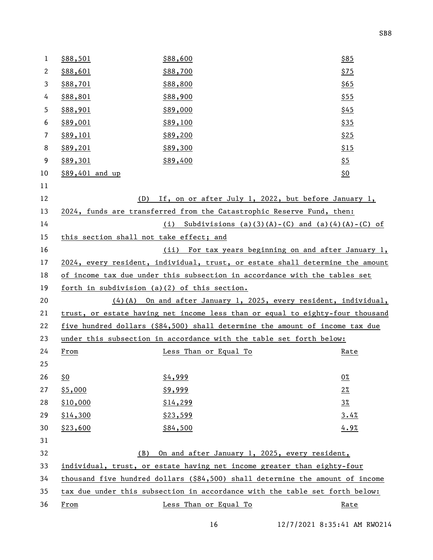| $\mathbf{1}$ | \$88,501                                     | \$88,600                                                                      | \$85              |
|--------------|----------------------------------------------|-------------------------------------------------------------------------------|-------------------|
| 2            | \$88,601                                     | \$88,700                                                                      | \$75              |
| 3            | \$88,701                                     | \$88,800                                                                      | \$65              |
| 4            | \$88,801                                     | \$88,900                                                                      | \$55              |
| 5            | \$88,901                                     | \$89,000                                                                      | \$45              |
| 6            | \$89,001                                     | \$89,100                                                                      | \$35              |
| 7            | \$89,101                                     | \$89,200                                                                      | \$25              |
| 8            | \$89,201                                     | \$89,300                                                                      | \$15              |
| 9            | \$89,301                                     | \$89,400                                                                      | $\frac{55}{5}$    |
| 10           | \$89,401 and up                              |                                                                               | $\underline{\$0}$ |
| 11           |                                              |                                                                               |                   |
| 12           | (D)                                          | If, on or after July 1, 2022, but before January 1,                           |                   |
| 13           |                                              | 2024, funds are transferred from the Catastrophic Reserve Fund, then:         |                   |
| 14           |                                              | (i) Subdivisions (a)(3)(A)-(C) and (a)(4)(A)-(C) of                           |                   |
| 15           | this section shall not take effect; and      |                                                                               |                   |
| 16           |                                              | (ii) For tax years beginning on and after January 1,                          |                   |
| 17           |                                              | 2024, every resident, individual, trust, or estate shall determine the amount |                   |
| 18           |                                              | of income tax due under this subsection in accordance with the tables set     |                   |
| 19           | forth in subdivision (a)(2) of this section. |                                                                               |                   |
| 20           |                                              | (4)(A) On and after January 1, 2025, every resident, individual,              |                   |
| 21           |                                              | trust, or estate having net income less than or equal to eighty-four thousand |                   |
| 22           |                                              | five hundred dollars (\$84,500) shall determine the amount of income tax due  |                   |
| 23           |                                              | under this subsection in accordance with the table set forth below:           |                   |
| 24           | From                                         | Less Than or Equal To                                                         | <u>Rate</u>       |
| 25           |                                              |                                                                               |                   |
| 26           | <u>\$0</u>                                   | \$4,999                                                                       | $0\%$             |
| 27           | \$5,000                                      | \$9,999                                                                       | $2\%$             |
| 28           | \$10,000                                     | \$14,299                                                                      | $3\%$             |
| 29           | \$14,300                                     | \$23,599                                                                      | 3.4%              |
| 30           | \$23,600                                     | \$84,500                                                                      | 4.9%              |
| 31           |                                              |                                                                               |                   |
| 32           | (B)                                          | On and after January 1, 2025, every resident,                                 |                   |
| 33           |                                              | individual, trust, or estate having net income greater than eighty-four       |                   |
| 34           |                                              | thousand five hundred dollars (\$84,500) shall determine the amount of income |                   |
| 35           |                                              | tax due under this subsection in accordance with the table set forth below:   |                   |
| 36           | From                                         | Less Than or Equal To                                                         | Rate              |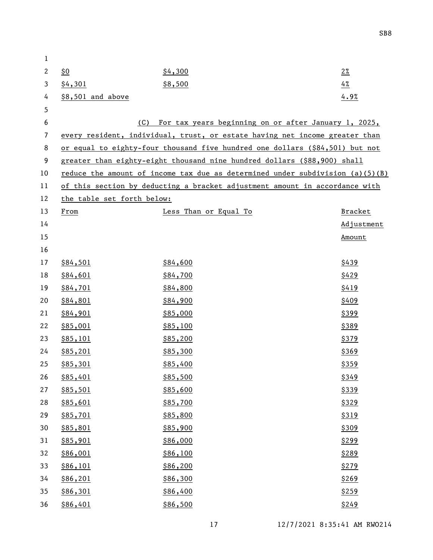| 1              |                            |                                                                                 |                |
|----------------|----------------------------|---------------------------------------------------------------------------------|----------------|
| $\mathbf{2}$   | \$0                        | \$4,300                                                                         | $2\%$          |
| 3              | \$4,301                    | \$8,500                                                                         | $4\%$          |
| 4              | \$8,501 and above          |                                                                                 | 4.9%           |
| 5              |                            |                                                                                 |                |
| 6              | (C)                        | For tax years beginning on or after January 1, 2025,                            |                |
| $\overline{7}$ |                            | every resident, individual, trust, or estate having net income greater than     |                |
| 8              |                            | or equal to eighty-four thousand five hundred one dollars (\$84,501) but not    |                |
| 9              |                            | greater than eighty-eight thousand nine hundred dollars (\$88,900) shall        |                |
| 10             |                            | reduce the amount of income tax due as determined under subdivision $(a)(5)(B)$ |                |
| 11             |                            | of this section by deducting a bracket adjustment amount in accordance with     |                |
| 12             | the table set forth below: |                                                                                 |                |
| 13             | From                       | Less Than or Equal To                                                           | <b>Bracket</b> |
| 14             |                            |                                                                                 | Adjustment     |
| 15             |                            |                                                                                 | Amount         |
| 16             |                            |                                                                                 |                |
| 17             | \$84,501                   | \$84,600                                                                        | \$439          |
| 18             | \$84,601                   | \$84,700                                                                        | \$429          |
| 19             | \$84,701                   | \$84,800                                                                        | \$419          |
| 20             | \$84,801                   | \$84,900                                                                        | \$409          |
| 21             | \$84,901                   | \$85,000                                                                        | \$399          |
| 22             | \$85,001                   | \$85,100                                                                        | \$389          |
| 23             | \$85,101                   | \$85,200                                                                        | \$379          |
| 24             | \$85,201                   | \$85,300                                                                        | \$369          |
| 25             | \$85,301                   | \$85,400                                                                        | \$359          |
| 26             | <u>\$85,401</u>            | \$85,500                                                                        | \$349          |
| 27             | \$85,501                   | \$85,600                                                                        | \$339          |
| 28             | \$85,601                   | \$85,700                                                                        | \$329          |
| 29             | \$85,701                   | \$85,800                                                                        | \$319          |
| 30             | \$85,801                   | \$85,900                                                                        | \$309          |
| 31             | \$85,901                   | \$86,000                                                                        | \$299          |
| 32             | \$86,001                   | \$86,100                                                                        | \$289          |
| 33             | \$86,101                   | \$86,200                                                                        | \$279          |
| 34             | \$86,201                   | \$86,300                                                                        | \$269          |
| 35             | \$86,301                   | \$86,400                                                                        | \$259          |
| 36             | \$86,401                   | \$86,500                                                                        | \$249          |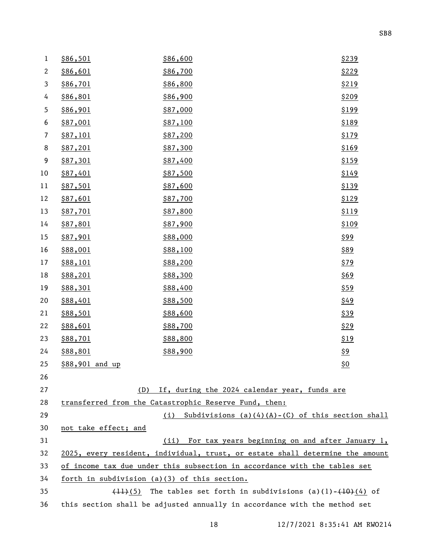| $\mathbf{1}$   | \$86,501                                     | \$86,600                                                                                  | \$239      |
|----------------|----------------------------------------------|-------------------------------------------------------------------------------------------|------------|
| $\mathbf{2}$   | \$86,601                                     | \$86,700                                                                                  | \$229      |
| 3              | \$86,701                                     | \$86,800                                                                                  | \$219      |
| 4              | \$86,801                                     | \$86,900                                                                                  | \$209      |
| 5              | \$86,901                                     | \$87,000                                                                                  | \$199      |
| 6              | \$87,001                                     | \$87,100                                                                                  | \$189      |
| $\overline{7}$ | \$87,101                                     | \$87,200                                                                                  | \$179      |
| 8              | \$87,201                                     | \$87,300                                                                                  | \$169      |
| 9              | \$87,301                                     | \$87,400                                                                                  | \$159      |
| 10             | \$87,401                                     | \$87,500                                                                                  | \$149      |
| 11             | \$87,501                                     | \$87,600                                                                                  | \$139      |
| 12             | \$87,601                                     | \$87,700                                                                                  | \$129      |
| 13             | \$87,701                                     | \$87,800                                                                                  | \$119      |
| 14             | \$87,801                                     | \$87,900                                                                                  | \$109      |
| 15             | \$87,901                                     | \$88,000                                                                                  | \$99       |
| 16             | \$88,001                                     | \$88,100                                                                                  | \$89       |
| 17             | \$88,101                                     | \$88,200                                                                                  | \$79       |
| 18             | \$88,201                                     | \$88,300                                                                                  | \$69       |
| 19             | \$88,301                                     | \$88,400                                                                                  | \$59       |
| 20             | \$88,401                                     | \$88,500                                                                                  | \$49       |
| 21             | \$88,501                                     | \$88,600                                                                                  | \$39       |
| 22             | \$88,601                                     | \$88,700                                                                                  | \$29       |
| 23             | \$88,701                                     | \$88,800                                                                                  | \$19       |
| 24             | \$88,801                                     | \$88,900                                                                                  | <u>\$9</u> |
| 25             | \$88,901 and up                              |                                                                                           | \$0        |
| 26             |                                              |                                                                                           |            |
| 27             | (D)                                          | If, during the 2024 calendar year, funds are                                              |            |
| 28             |                                              | transferred from the Catastrophic Reserve Fund, then:                                     |            |
| 29             |                                              | Subdivisions $(a)(4)(A)-(C)$ of this section shall<br>(i)                                 |            |
| 30             | not take effect; and                         |                                                                                           |            |
| 31             |                                              | (ii) For tax years beginning on and after January 1,                                      |            |
| 32             |                                              | 2025, every resident, individual, trust, or estate shall determine the amount             |            |
| 33             |                                              | of income tax due under this subsection in accordance with the tables set                 |            |
| 34             | forth in subdivision (a)(3) of this section. |                                                                                           |            |
| 35             |                                              | $\overline{(11)(5)}$ The tables set forth in subdivisions (a)(1)- $\overline{(10)(4)}$ of |            |
| 36             |                                              | this section shall be adjusted annually in accordance with the method set                 |            |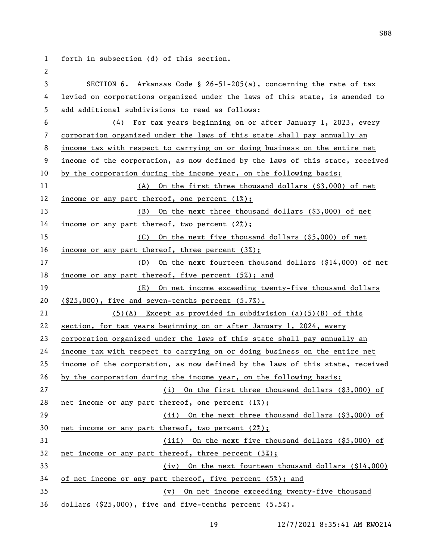forth in subsection (d) of this section. SECTION 6. Arkansas Code § 26-51-205(a), concerning the rate of tax levied on corporations organized under the laws of this state, is amended to add additional subdivisions to read as follows: (4) For tax years beginning on or after January 1, 2023, every corporation organized under the laws of this state shall pay annually an income tax with respect to carrying on or doing business on the entire net income of the corporation, as now defined by the laws of this state, received by the corporation during the income year, on the following basis: (A) On the first three thousand dollars (\$3,000) of net income or any part thereof, one percent (1%); (B) On the next three thousand dollars (\$3,000) of net 14 <u>income or any part thereof</u>, two percent (2%); (C) On the next five thousand dollars (\$5,000) of net income or any part thereof, three percent (3%); (D) On the next fourteen thousand dollars (\$14,000) of net income or any part thereof, five percent (5%); and (E) On net income exceeding twenty-five thousand dollars (\$25,000), five and seven-tenths percent (5.7%). (5)(A) Except as provided in subdivision (a)(5)(B) of this section, for tax years beginning on or after January 1, 2024, every corporation organized under the laws of this state shall pay annually an income tax with respect to carrying on or doing business on the entire net income of the corporation, as now defined by the laws of this state, received by the corporation during the income year, on the following basis: (i) On the first three thousand dollars (\$3,000) of 28 net income or any part thereof, one percent  $(1%)$ ; (ii) On the next three thousand dollars (\$3,000) of net income or any part thereof, two percent (2%); (iii) On the next five thousand dollars (\$5,000) of net income or any part thereof, three percent (3%); (iv) On the next fourteen thousand dollars (\$14,000) of net income or any part thereof, five percent (5%); and (v) On net income exceeding twenty-five thousand dollars (\$25,000), five and five-tenths percent (5.5%).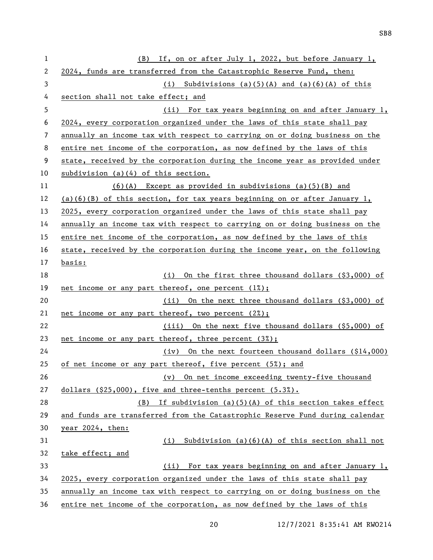| 1  | (B) If, on or after July 1, 2022, but before January 1,                      |
|----|------------------------------------------------------------------------------|
| 2  | 2024, funds are transferred from the Catastrophic Reserve Fund, then:        |
| 3  | (i) Subdivisions (a)(5)(A) and (a)(6)(A) of this                             |
| 4  | section shall not take effect; and                                           |
| 5  | (ii) For tax years beginning on and after January 1,                         |
| 6  | 2024, every corporation organized under the laws of this state shall pay     |
| 7  | annually an income tax with respect to carrying on or doing business on the  |
| 8  | entire net income of the corporation, as now defined by the laws of this     |
| 9  | state, received by the corporation during the income year as provided under  |
| 10 | subdivision $(a)(4)$ of this section.                                        |
| 11 | $(6)(A)$ Except as provided in subdivisions $(a)(5)(B)$ and                  |
| 12 | (a)(6)(B) of this section, for tax years beginning on or after January 1,    |
| 13 | 2025, every corporation organized under the laws of this state shall pay     |
| 14 | annually an income tax with respect to carrying on or doing business on the  |
| 15 | entire net income of the corporation, as now defined by the laws of this     |
| 16 | state, received by the corporation during the income year, on the following  |
| 17 | <u>basis:</u>                                                                |
| 18 | On the first three thousand dollars (\$3,000) of<br>(i)                      |
| 19 | net income or any part thereof, one percent $(1%)$ ;                         |
| 20 | (ii) On the next three thousand dollars (\$3,000) of                         |
| 21 | net income or any part thereof, two percent (2%);                            |
| 22 | (iii) On the next five thousand dollars (\$5,000) of                         |
| 23 | net income or any part thereof, three percent (3%);                          |
| 24 | (iv) On the next fourteen thousand dollars (\$14,000)                        |
| 25 | of net income or any part thereof, five percent (5%); and                    |
| 26 | On net income exceeding twenty-five thousand<br>(v)                          |
| 27 | dollars (\$25,000), five and three-tenths percent (5.3%).                    |
| 28 | If subdivision $(a)(5)(A)$ of this section takes effect<br>(B)               |
| 29 | and funds are transferred from the Catastrophic Reserve Fund during calendar |
| 30 | year 2024, then:                                                             |
| 31 | Subdivision $(a)(6)(A)$ of this section shall not<br>(i)                     |
| 32 | take effect; and                                                             |
| 33 | For tax years beginning on and after January 1,<br>(ii)                      |
| 34 | 2025, every corporation organized under the laws of this state shall pay     |
| 35 | annually an income tax with respect to carrying on or doing business on the  |
| 36 | entire net income of the corporation, as now defined by the laws of this     |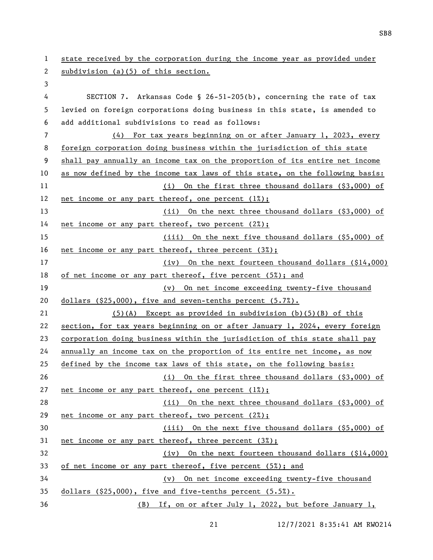state received by the corporation during the income year as provided under subdivision (a)(5) of this section. SECTION 7. Arkansas Code § 26-51-205(b), concerning the rate of tax levied on foreign corporations doing business in this state, is amended to add additional subdivisions to read as follows: (4) For tax years beginning on or after January 1, 2023, every foreign corporation doing business within the jurisdiction of this state shall pay annually an income tax on the proportion of its entire net income as now defined by the income tax laws of this state, on the following basis: (i) On the first three thousand dollars (\$3,000) of net income or any part thereof, one percent (1%); (ii) On the next three thousand dollars (\$3,000) of net income or any part thereof, two percent (2%); (iii) On the next five thousand dollars (\$5,000) of net income or any part thereof, three percent (3%);

 (iv) On the next fourteen thousand dollars (\$14,000) of net income or any part thereof, five percent (5%); and

 (v) On net income exceeding twenty-five thousand dollars (\$25,000), five and seven-tenths percent (5.7%).

(5)(A) Except as provided in subdivision (b)(5)(B) of this

 section, for tax years beginning on or after January 1, 2024, every foreign corporation doing business within the jurisdiction of this state shall pay

annually an income tax on the proportion of its entire net income, as now

defined by the income tax laws of this state, on the following basis:

 (i) On the first three thousand dollars (\$3,000) of 27 net income or any part thereof, one percent  $(1\%)$ ; (ii) On the next three thousand dollars (\$3,000) of net income or any part thereof, two percent (2%);

 (iii) On the next five thousand dollars (\$5,000) of net income or any part thereof, three percent (3%);

 (iv) On the next fourteen thousand dollars (\$14,000) of net income or any part thereof, five percent (5%); and

(v) On net income exceeding twenty-five thousand

dollars (\$25,000), five and five-tenths percent (5.5%).

(B) If, on or after July 1, 2022, but before January 1,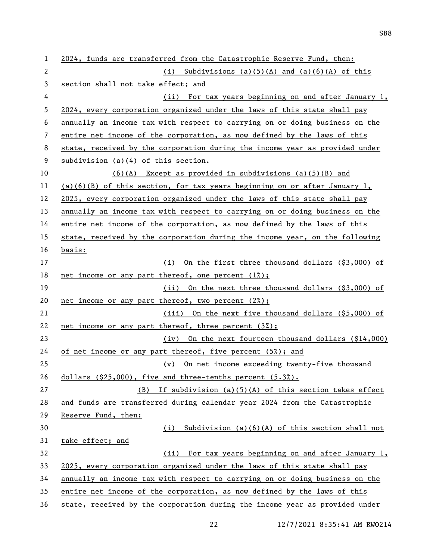| 1  | 2024, funds are transferred from the Catastrophic Reserve Fund, then:       |  |
|----|-----------------------------------------------------------------------------|--|
| 2  | (i) Subdivisions (a)(5)(A) and (a)(6)(A) of this                            |  |
| 3  | section shall not take effect; and                                          |  |
| 4  | (ii) For tax years beginning on and after January 1,                        |  |
| 5  | 2024, every corporation organized under the laws of this state shall pay    |  |
| 6  | annually an income tax with respect to carrying on or doing business on the |  |
| 7  | entire net income of the corporation, as now defined by the laws of this    |  |
| 8  | state, received by the corporation during the income year as provided under |  |
| 9  | subdivision $(a)(4)$ of this section.                                       |  |
| 10 | $(6)(A)$ Except as provided in subdivisions $(a)(5)(B)$ and                 |  |
| 11 | $(a)(6)(B)$ of this section, for tax years beginning on or after January 1, |  |
| 12 | 2025, every corporation organized under the laws of this state shall pay    |  |
| 13 | annually an income tax with respect to carrying on or doing business on the |  |
| 14 | entire net income of the corporation, as now defined by the laws of this    |  |
| 15 | state, received by the corporation during the income year, on the following |  |
| 16 | <u>basis:</u>                                                               |  |
| 17 | (i) On the first three thousand dollars (\$3,000) of                        |  |
| 18 | net income or any part thereof, one percent $(1%)$ ;                        |  |
| 19 | (ii) On the next three thousand dollars (\$3,000) of                        |  |
| 20 | net income or any part thereof, two percent (2%);                           |  |
| 21 | (iii) On the next five thousand dollars (\$5,000) of                        |  |
| 22 | net income or any part thereof, three percent (3%);                         |  |
| 23 | (iv) On the next fourteen thousand dollars (\$14,000)                       |  |
| 24 | of net income or any part thereof, five percent (5%); and                   |  |
| 25 | (v) On net income exceeding twenty-five thousand                            |  |
| 26 | dollars $(§25,000)$ , five and three-tenths percent $(5.3%)$ .              |  |
| 27 | If subdivision $(a)(5)(A)$ of this section takes effect<br>(B)              |  |
| 28 | and funds are transferred during calendar year 2024 from the Catastrophic   |  |
| 29 | Reserve Fund, then:                                                         |  |
| 30 | $(i)$ Subdivision (a)(6)(A) of this section shall not                       |  |
| 31 | take effect; and                                                            |  |
| 32 | (ii) For tax years beginning on and after January 1,                        |  |
| 33 | 2025, every corporation organized under the laws of this state shall pay    |  |
| 34 | annually an income tax with respect to carrying on or doing business on the |  |
| 35 | entire net income of the corporation, as now defined by the laws of this    |  |
| 36 | state, received by the corporation during the income year as provided under |  |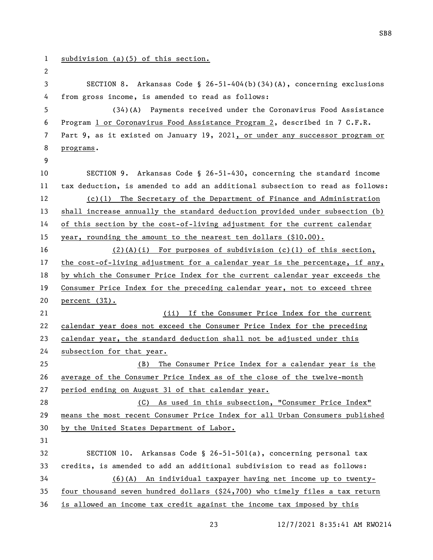```
1 subdivision (a)(5) of this section.
 2
 3 SECTION 8. Arkansas Code § 26-51-404(b)(34)(A), concerning exclusions 
4 from gross income, is amended to read as follows:
5 (34)(A) Payments received under the Coronavirus Food Assistance 
6 Program 1 or Coronavirus Food Assistance Program 2, described in 7 C.F.R. 
7 Part 9, as it existed on January 19, 2021, or under any successor program or 
8 programs. 
9
10 SECTION 9. Arkansas Code § 26-51-430, concerning the standard income 
11 tax deduction, is amended to add an additional subsection to read as follows:
12 (c)(1) The Secretary of the Department of Finance and Administration 
13 shall increase annually the standard deduction provided under subsection (b) 
14 of this section by the cost-of-living adjustment for the current calendar 
15 year, rounding the amount to the nearest ten dollars ($10.00).
16 (2)(A)(i) For purposes of subdivision (c)(1) of this section, 
17 the cost-of-living adjustment for a calendar year is the percentage, if any, 
18 by which the Consumer Price Index for the current calendar year exceeds the 
19 Consumer Price Index for the preceding calendar year, not to exceed three 
20 percent (3%).
21 (ii) If the Consumer Price Index for the current 
22 calendar year does not exceed the Consumer Price Index for the preceding 
23 calendar year, the standard deduction shall not be adjusted under this 
24 subsection for that year.
25 (B) The Consumer Price Index for a calendar year is the 
26 average of the Consumer Price Index as of the close of the twelve-month 
27 period ending on August 31 of that calendar year.
28 (C) As used in this subsection, "Consumer Price Index" 
29 means the most recent Consumer Price Index for all Urban Consumers published 
30 by the United States Department of Labor.
31
32 SECTION 10. Arkansas Code § 26-51-501(a), concerning personal tax 
33 credits, is amended to add an additional subdivision to read as follows:
34 (6)(A) An individual taxpayer having net income up to twenty-
35 four thousand seven hundred dollars ($24,700) who timely files a tax return 
36 is allowed an income tax credit against the income tax imposed by this
```
SB8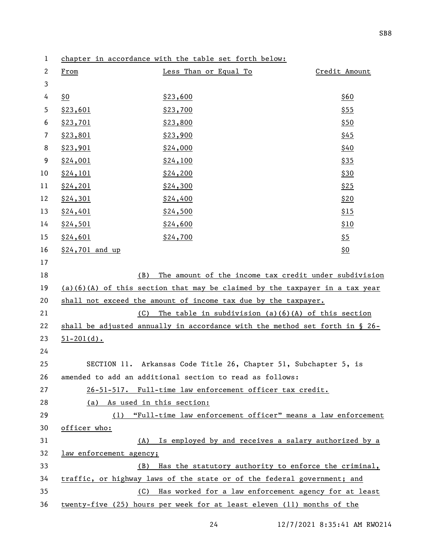| $\mathbf{2}$ | From                         | Less Than or Equal To                                                       | Credit Amount |
|--------------|------------------------------|-----------------------------------------------------------------------------|---------------|
| 3            |                              |                                                                             |               |
| 4            | \$0                          | \$23,600                                                                    | \$60          |
| 5            | \$23,601                     | \$23,700                                                                    | <u>\$55</u>   |
| 6            | \$23,701                     | \$23,800                                                                    | \$50          |
| 7            | \$23,801                     | \$23,900                                                                    | \$45          |
| 8            | \$23,901                     | \$24,000                                                                    | \$40          |
| 9            | \$24,001                     | \$24,100                                                                    | <u>\$35</u>   |
| 10           | \$24,101                     | \$24,200                                                                    | <u>\$30</u>   |
| 11           | \$24,201                     | \$24,300                                                                    | \$25          |
| 12           | \$24,301                     | \$24,400                                                                    | \$20          |
| 13           | \$24,401                     | \$24,500                                                                    | \$15          |
| 14           | \$24,501                     | \$24,600                                                                    | \$10          |
| 15           | \$24,601                     | \$24,700                                                                    | <u>\$5</u>    |
| 16           | \$24,701 and up              |                                                                             | <u>\$0</u>    |
| 17           |                              |                                                                             |               |
| 18           | (B)                          | The amount of the income tax credit under subdivision                       |               |
| 19           |                              | (a)(6)(A) of this section that may be claimed by the taxpayer in a tax year |               |
| 20           |                              | shall not exceed the amount of income tax due by the taxpayer.              |               |
| 21           |                              | $(C)$ The table in subdivision $(a)(6)(A)$ of this section                  |               |
| 22           |                              | shall be adjusted annually in accordance with the method set forth in § 26- |               |
| 23           | $51 - 201(d)$ .              |                                                                             |               |
| 24           |                              |                                                                             |               |
| 25           |                              | SECTION 11. Arkansas Code Title 26, Chapter 51, Subchapter 5, is            |               |
| 26           |                              | amended to add an additional section to read as follows:                    |               |
| 27           |                              | 26-51-517. Full-time law enforcement officer tax credit.                    |               |
| 28           | (a) As used in this section: |                                                                             |               |
| 29           |                              | (1) "Full-time law enforcement officer" means a law enforcement             |               |
| 30           | officer who:                 |                                                                             |               |
| 31           |                              | (A) Is employed by and receives a salary authorized by a                    |               |
| 32           | law enforcement agency;      |                                                                             |               |
| 33           | (B)                          | Has the statutory authority to enforce the criminal,                        |               |
| 34           |                              | traffic, or highway laws of the state or of the federal government; and     |               |
| 35           | (C)                          | Has worked for a law enforcement agency for at least                        |               |
| 36           |                              | twenty-five (25) hours per week for at least eleven (11) months of the      |               |

chapter in accordance with the table set forth below: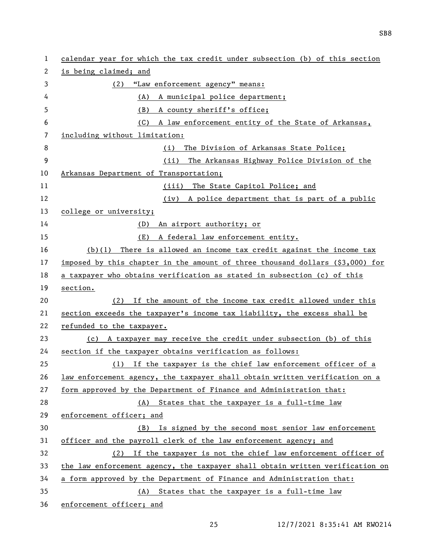| 1  | calendar year for which the tax credit under subsection (b) of this section          |
|----|--------------------------------------------------------------------------------------|
| 2  | is being claimed; and                                                                |
| 3  | (2) "Law enforcement agency" means:                                                  |
| 4  | (A) A municipal police department;                                                   |
| 5  | A county sheriff's office;<br>(B)                                                    |
| 6  | (C)<br>A law enforcement entity of the State of Arkansas,                            |
| 7  | including without limitation:                                                        |
| 8  | The Division of Arkansas State Police;<br>(i)                                        |
| 9  | The Arkansas Highway Police Division of the<br>(ii)                                  |
| 10 | Arkansas Department of Transportation;                                               |
| 11 | (iii) The State Capitol Police; and                                                  |
| 12 | (iv) A police department that is part of a public                                    |
| 13 | college or university;                                                               |
| 14 | (D) An airport authority; or                                                         |
| 15 | (E)<br>A federal law enforcement entity.                                             |
| 16 | $(b)(1)$ There is allowed an income tax credit against the income tax                |
| 17 | imposed by this chapter in the amount of three thousand dollars $(\hat{S}3,000)$ for |
| 18 | a taxpayer who obtains verification as stated in subsection (c) of this              |
| 19 | section.                                                                             |
| 20 | If the amount of the income tax credit allowed under this<br>(2)                     |
| 21 | section exceeds the taxpayer's income tax liability, the excess shall be             |
| 22 | refunded to the taxpayer.                                                            |
| 23 | (c) A taxpayer may receive the credit under subsection (b) of this                   |
| 24 | section if the taxpayer obtains verification as follows:                             |
| 25 | (1) If the taxpayer is the chief law enforcement officer of a                        |
| 26 | law enforcement agency, the taxpayer shall obtain written verification on a          |
| 27 | form approved by the Department of Finance and Administration that:                  |
| 28 | (A) States that the taxpayer is a full-time law                                      |
| 29 | enforcement officer; and                                                             |
| 30 | (B) Is signed by the second most senior law enforcement                              |
| 31 | officer and the payroll clerk of the law enforcement agency; and                     |
| 32 | (2) If the taxpayer is not the chief law enforcement officer of                      |
| 33 | the law enforcement agency, the taxpayer shall obtain written verification on        |
| 34 | a form approved by the Department of Finance and Administration that:                |
| 35 | (A) States that the taxpayer is a full-time law                                      |
| 36 | enforcement officer; and                                                             |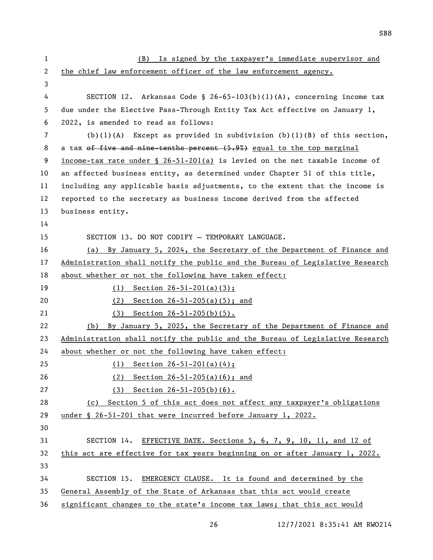| 1  | (B) Is signed by the taxpayer's immediate supervisor and                       |
|----|--------------------------------------------------------------------------------|
| 2  | the chief law enforcement officer of the law enforcement agency.               |
| 3  |                                                                                |
| 4  | SECTION 12. Arkansas Code § 26-65-103(b)(1)(A), concerning income tax          |
| 5  | due under the Elective Pass-Through Entity Tax Act effective on January 1,     |
| 6  | 2022, is amended to read as follows:                                           |
| 7  | $(b)(1)(A)$ Except as provided in subdivision $(b)(1)(B)$ of this section,     |
| 8  | a tax of five and nine tenths percent (5.9%) equal to the top marginal         |
| 9  | income-tax rate under $\S$ 26-51-201(a) is levied on the net taxable income of |
| 10 | an affected business entity, as determined under Chapter 51 of this title,     |
| 11 | including any applicable basis adjustments, to the extent that the income is   |
| 12 | reported to the secretary as business income derived from the affected         |
| 13 | business entity.                                                               |
| 14 |                                                                                |
| 15 | SECTION 13. DO NOT CODIFY - TEMPORARY LANGUAGE.                                |
| 16 | (a) By January 5, 2024, the Secretary of the Department of Finance and         |
| 17 | Administration shall notify the public and the Bureau of Legislative Research  |
| 18 | about whether or not the following have taken effect:                          |
| 19 | (1) Section $26-51-201(a)(3)$ ;                                                |
| 20 | (2)<br>Section $26 - 51 - 205(a)(5)$ ; and                                     |
| 21 | (3) Section $26-51-205(b)(5)$ .                                                |
| 22 | (b) By January 5, 2025, the Secretary of the Department of Finance and         |
| 23 | Administration shall notify the public and the Bureau of Legislative Research  |
| 24 | about whether or not the following have taken effect:                          |
| 25 | (1) Section $26-51-201(a)(4)$ ;                                                |
| 26 | Section $26 - 51 - 205(a)(6)$ ; and<br>(2)                                     |
| 27 | (3) Section $26-51-205(b)(6)$ .                                                |
| 28 | (c) Section 5 of this act does not affect any taxpayer's obligations           |
| 29 | under § 26-51-201 that were incurred before January 1, 2022.                   |
| 30 |                                                                                |
| 31 | EFFECTIVE DATE. Sections 5, 6, 7, 9, 10, 11, and 12 of<br>SECTION 14.          |
| 32 | this act are effective for tax years beginning on or after January 1, 2022.    |
| 33 |                                                                                |
| 34 | EMERGENCY CLAUSE. It is found and determined by the<br>SECTION 15.             |
| 35 | General Assembly of the State of Arkansas that this act would create           |
| 36 | significant changes to the state's income tax laws; that this act would        |